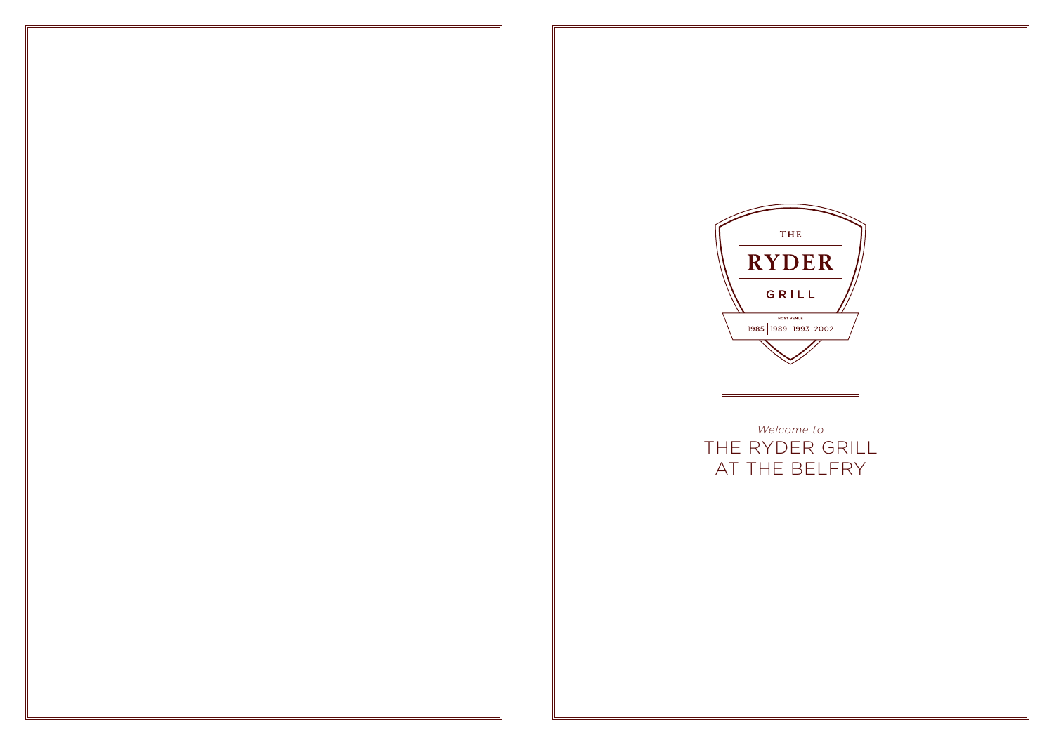



*Welcome to* THE RYDER GRILL AT THE BELFRY